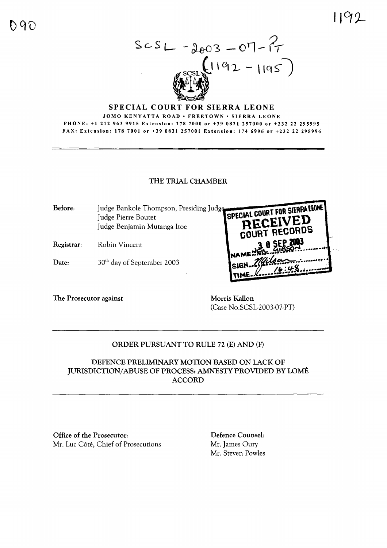

## **SPECIAL COURT FOR SIERRA LEONE**

JOMO KENYATTA ROAD • FREETOWN • SIERRA LEONE PHONE: +1 212 963 9915 Extension: 178 7000 or +39 0831 257000 or +232 22 295995 FAX: Extension: 178 7001 or +39 0831 257001 Extension: 174 6996 or +232 22 295996

## THE TRIAL CHAMBER

SPECIAL COURT FOR SIERRA LEONE Before: Judge Bankole Thompson, Presiding Judge Judge Pierre Boutet CEIVED Judge Benjamin Mutanga Itoe **RECORDS** Registrar: Robin Vincent

30<sup>th</sup> day of September 2003 Date:

The Prosecutor against

Morris Kallon (Case No.SCSL-2003-07-PT)

# ORDER PURSUANT TO RULE 72 (E) AND (F)

# DEFENCE PRELIMINARY MOTION BASED ON LACK OF **JURISDICTION/ABUSE OF PROCESS: AMNESTY PROVIDED BY LOMÉ ACCORD**

Office of the Prosecutor: Mr. Luc Côté, Chief of Prosecutions Defence Counsel: Mr. James Oury Mr. Steven Powles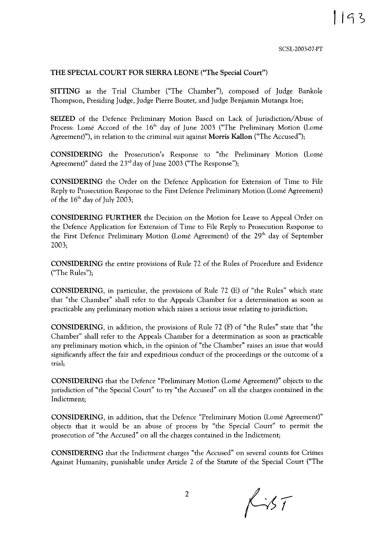SCSL-2003-07-PT

#### THE SPECIAL COURT FOR SIERRA LEONE ("The Special Court")

SITTING as the Trial Chamber ("The Chamber"), composed of Judge Bankole Thompson, Presiding Judge, Judge Pierre Boutet, and Judge Benjamin Mutanga !toe;

SEIZED of the Defence Preliminary Motion Based on Lack of Jurisdiction/Abuse of Process: Lomé Accord of the 16<sup>th</sup> day of June 2003 ("The Preliminary Motion (Lomé Agreement)"), in relation to the criminal suit against Morris Kallon ("The Accused");

CONSIDERING the Prosecution's Response to "the Preliminary Motion (Lome Agreement)" dated the  $23<sup>rd</sup>$  day of June 2003 ("The Response");

CONSIDERING the Order on the Defence Application for Extension of Time to File Reply to Prosecution Response to the First Defence Preliminary Motion (Lome Agreement) of the  $16<sup>th</sup>$  day of July 2003;

CONSIDERING FURTHER the Decision on the Motion for Leave to Appeal Order on the Defence Application for Extension of Time to File Reply to Prosecution Response to the First Defence Preliminary Motion (Lomé Agreement) of the 29<sup>th</sup> day of September 2003;

CONSIDERING the entire provisions of Rule 72 of the Rules of Procedure and Evidence ("The Rules");

CONSIDERING, in particular, the provisions of Rule 72 (E) of "the Rules" which state that "the Chamber" shall refer to the Appeals Chamber for a determination as soon as practicable any preliminary motion which raises a serious issue relating to jurisdiction;

CONSIDERING, in addition, the provisions of Rule 72 (F) of "the Rules" state that "the Chamber" shall refer to the Appeals Chamber for a determination as soon as practicable any preliminary motion which, in the opinion of "the Chamber" raises an issue that would significantly affect the fair and expeditious conduct of the proceedings or the outcome of a trial;

CONSIDERING that the Defence "Preliminary Motion (Lome Agreement)" objects to the jurisdiction of "the Special Court" to try "the Accused" on all the charges contained in the Indictment;

CONSIDERING, in addition, that the Defence "Preliminary Motion (Lome Agreement)" objects that it would be an abuse of process by "the Special Court" to permit the prosecution of "the Accused" on all the charges contained in the Indictment;

CONSIDERING that the Indictment charges "the Accused" on several counts for Crimes Against Humanity, punishable under Article 2 of the Statute of the Special Court ("The

2

 $Kir$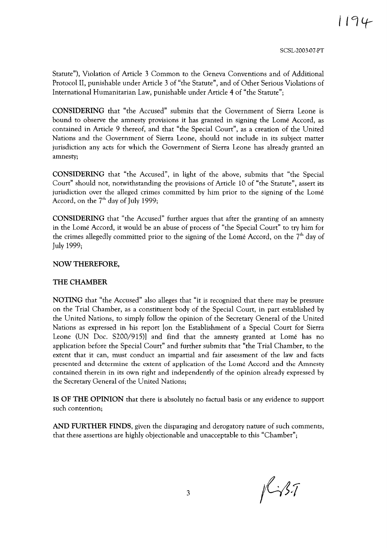SCSL-2003-07-PT

Statute"), Violation of Article 3 Common to the Geneva Conventions and of Additional Protocol II, punishable under Article 3 of "the Statute", and of Other Serious Violations of International Humanitarian Law, punishable under Article 4 of "the Statute";

**CONSIDERING** that "the Accused" submits that the Government of Sierra Leone is bound to observe the amnesty provisions it has granted in signing the Lome Accord, as contained in Article 9 thereof, and that "the Special Court", as a creation of the United Nations and the Government of Sierra Leone, should not include in its subject matter jurisdiction any acts for which the Government of Sierra Leone has already granted an amnesty;

**CONSIDERING** that "the Accused", in light of the above, submits that "the Special Court" should not, notwithstanding the provisions of Article 10 of "the Statute", assert its jurisdiction over the alleged crimes committed by him prior to the signing of the Lome Accord, on the  $7<sup>th</sup>$  day of July 1999;

**CONSIDERING** that "the Accused" further argues that after the granting of an amnesty in the Lome Accord, it would be an abuse of process of "the Special Court" to try him for the crimes allegedly committed prior to the signing of the Lomé Accord, on the  $7<sup>th</sup>$  day of July 1999;

#### **NOW THEREFORE,**

#### THE CHAMBER

**NOTING** that "the Accused" also alleges that "it is recognized that there may be pressure on the Trial Chamber, as a constituent body of the Special Court, in part established by the United Nations, to simply follow the opinion of the Secretary General of the United Nations as expressed in his report [on the Establishment of a Special Court for Sierra Leone (UN Doc. S200/915)] and find that the amnesty granted at Lome has no application before the Special Court" and further submits that "the Trial Chamber, to the extent that it can, must conduct an impartial and fair assessment of the law and facts presented and determine the extent of application of the Lome Accord and the Amnesty contained therein in its own right and independently of the opinion already expressed by the Secretary General of the United Nations;

**IS OF THE OPINION** that there is absolutely no factual basis or any evidence to support such contention;

**AND FURTHER FINDS,** given the disparaging and derogatory nature of such comments, that these assertions are highly objectionable and unacceptable to this "Chamber";

 $1437$